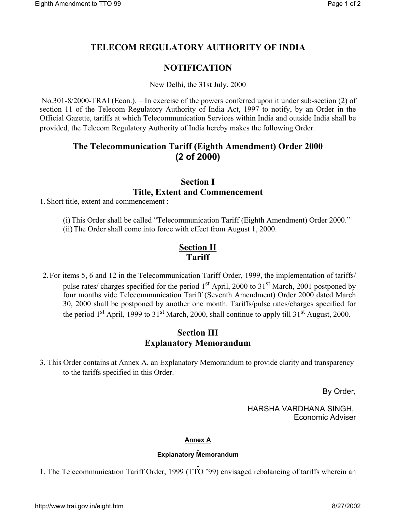# **TELECOM REGULATORY AUTHORITY OF INDIA**

## **NOTIFICATION**

New Delhi, the 31st July, 2000

 No.301-8/2000-TRAI (Econ.). – In exercise of the powers conferred upon it under sub-section (2) of section 11 of the Telecom Regulatory Authority of India Act, 1997 to notify, by an Order in the Official Gazette, tariffs at which Telecommunication Services within India and outside India shall be provided, the Telecom Regulatory Authority of India hereby makes the following Order.

## **The Telecommunication Tariff (Eighth Amendment) Order 2000 (2 of 2000)**

### **Section I Title, Extent and Commencement**

1. Short title, extent and commencement :

(i)This Order shall be called "Telecommunication Tariff (Eighth Amendment) Order 2000." (ii)The Order shall come into force with effect from August 1, 2000.

### **Section II Tariff**

2. For items 5, 6 and 12 in the Telecommunication Tariff Order, 1999, the implementation of tariffs/ pulse rates/ charges specified for the period  $1<sup>st</sup>$  April, 2000 to  $31<sup>st</sup>$  March, 2001 postponed by four months vide Telecommunication Tariff (Seventh Amendment) Order 2000 dated March 30, 2000 shall be postponed by another one month. Tariffs/pulse rates/charges specified for the period  $1<sup>st</sup>$  April, 1999 to  $31<sup>st</sup>$  March, 2000, shall continue to apply till  $31<sup>st</sup>$  August, 2000.

## **Section III Explanatory Memorandum**

3. This Order contains at Annex A, an Explanatory Memorandum to provide clarity and transparency to the tariffs specified in this Order.

By Order,

HARSHA VARDHANA SINGH, Economic Adviser

#### **Annex A**

#### **Explanatory Memorandum**

1. The Telecommunication Tariff Order, 1999 (TTO '99) envisaged rebalancing of tariffs wherein an